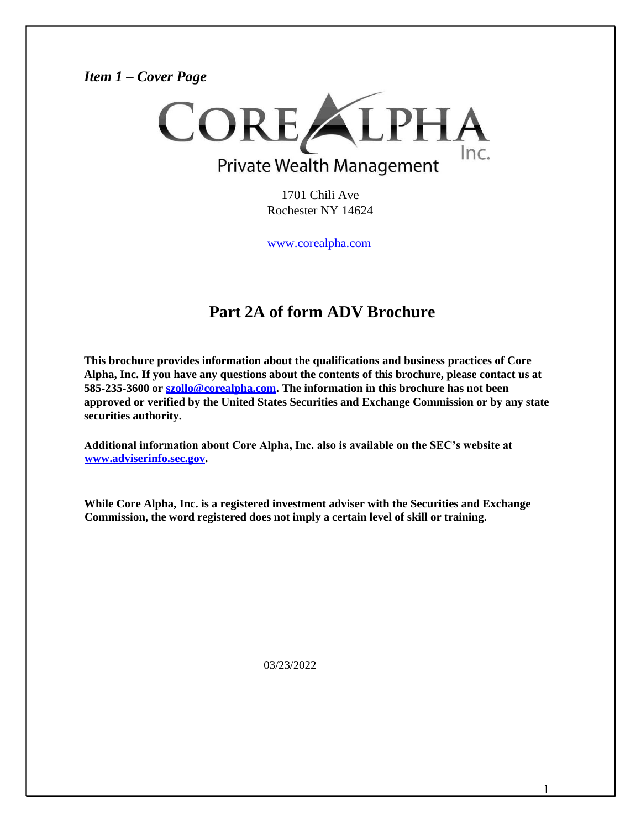### *Item 1 – Cover Page*



1701 Chili Ave Rochester NY 14624

[www.corealpha.com](http://www.corealpha.com/)

# **Part 2A of form ADV Brochure**

**This brochure provides information about the qualifications and business practices of Core Alpha, Inc. If you have any questions about the contents of this brochure, please contact us at 585-235-3600 or [szollo@corealpha.com.](mailto:szollo@corealpha.com) The information in this brochure has not been approved or verified by the United States Securities and Exchange Commission or by any state securities authority.**

**Additional information about Core Alpha, Inc. also is available on the SEC's website at [www.adviserinfo.sec.gov.](http://www.adviserinfo.sec.gov/)**

**While Core Alpha, Inc. is a registered investment adviser with the Securities and Exchange Commission, the word registered does not imply a certain level of skill or training.**

03/23/2022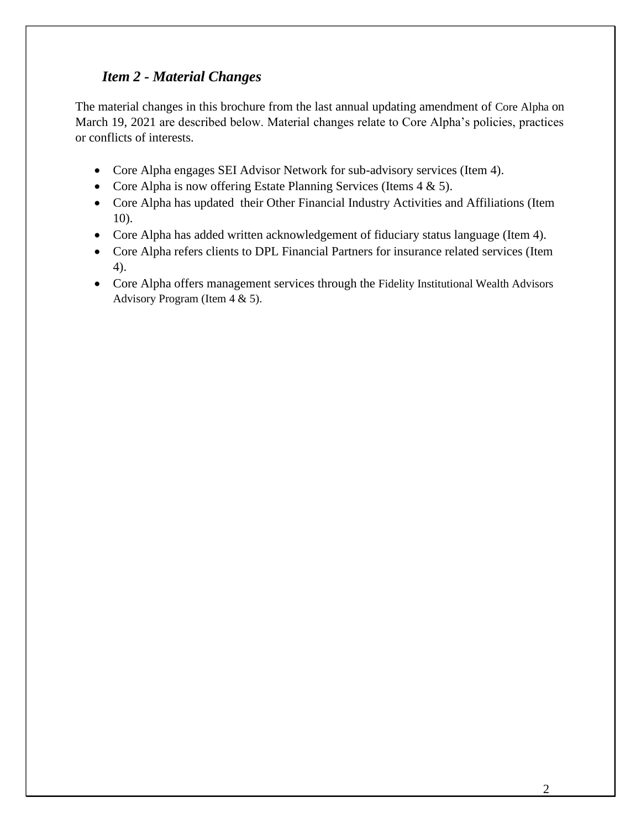# *Item 2 - Material Changes*

The material changes in this brochure from the last annual updating amendment of Core Alpha on March 19, 2021 are described below. Material changes relate to Core Alpha's policies, practices or conflicts of interests.

- Core Alpha engages SEI Advisor Network for sub-advisory services (Item 4).
- Core Alpha is now offering Estate Planning Services (Items 4 & 5).
- Core Alpha has updated their Other Financial Industry Activities and Affiliations (Item 10).
- Core Alpha has added written acknowledgement of fiduciary status language (Item 4).
- Core Alpha refers clients to DPL Financial Partners for insurance related services (Item 4).
- Core Alpha offers management services through the Fidelity Institutional Wealth Advisors Advisory Program (Item 4 & 5).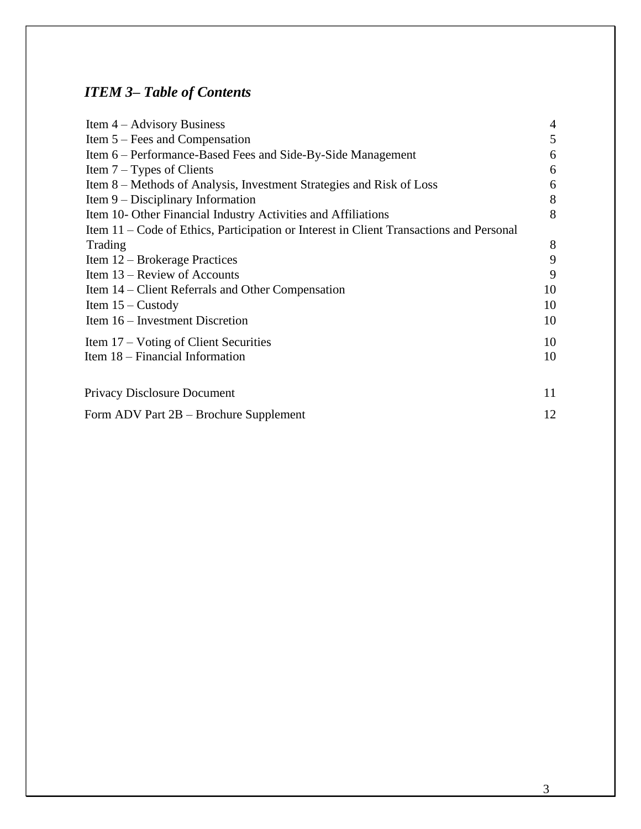# *ITEM 3– Table of Contents*

| Item $4 -$ Advisory Business                                                            | $\overline{4}$ |
|-----------------------------------------------------------------------------------------|----------------|
| Item $5 - \text{Fees}$ and Compensation                                                 | 5              |
| Item 6 – Performance-Based Fees and Side-By-Side Management                             | 6              |
| Item $7 - Types$ of Clients                                                             | 6              |
| Item 8 - Methods of Analysis, Investment Strategies and Risk of Loss                    | 6              |
| Item $9$ – Disciplinary Information                                                     | 8              |
| Item 10- Other Financial Industry Activities and Affiliations                           | 8              |
| Item 11 – Code of Ethics, Participation or Interest in Client Transactions and Personal |                |
| Trading                                                                                 | 8              |
| Item 12 – Brokerage Practices                                                           | 9              |
| Item 13 – Review of Accounts                                                            | 9              |
| Item 14 – Client Referrals and Other Compensation                                       | 10             |
| Item $15 -$ Custody                                                                     | 10             |
| Item 16 – Investment Discretion                                                         | 10             |
| Item 17 – Voting of Client Securities                                                   | 10             |
| Item 18 – Financial Information                                                         | 10             |
| <b>Privacy Disclosure Document</b>                                                      | 11             |
| Form ADV Part 2B – Brochure Supplement                                                  | 12             |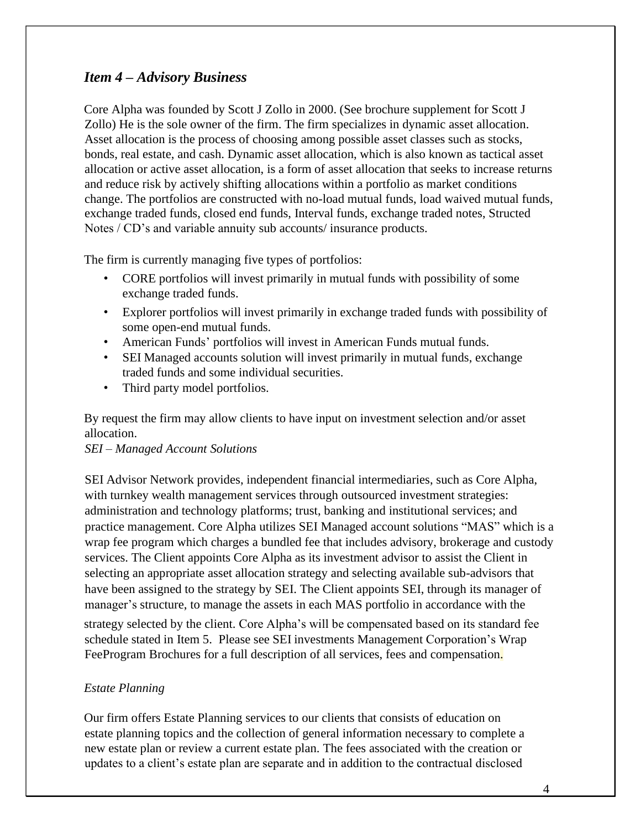### <span id="page-3-0"></span>*Item 4 – Advisory Business*

Core Alpha was founded by Scott J Zollo in 2000. (See brochure supplement for Scott J Zollo) He is the sole owner of the firm. The firm specializes in dynamic asset allocation. Asset allocation is the process of choosing among possible asset classes such as stocks, bonds, real estate, and cash. Dynamic asset allocation, which is also known as tactical asset allocation or active asset allocation, is a form of asset allocation that seeks to increase returns and reduce risk by actively shifting allocations within a portfolio as market conditions change. The portfolios are constructed with no-load mutual funds, load waived mutual funds, exchange traded funds, closed end funds, Interval funds, exchange traded notes, Structed Notes / CD's and variable annuity sub accounts/ insurance products.

The firm is currently managing five types of portfolios:

- CORE portfolios will invest primarily in mutual funds with possibility of some exchange traded funds.
- Explorer portfolios will invest primarily in exchange traded funds with possibility of some open-end mutual funds.
- American Funds' portfolios will invest in American Funds mutual funds.
- SEI Managed accounts solution will invest primarily in mutual funds, exchange traded funds and some individual securities.
- Third party model portfolios.

By request the firm may allow clients to have input on investment selection and/or asset allocation.

### *SEI – Managed Account Solutions*

SEI Advisor Network provides, independent financial intermediaries, such as Core Alpha, with turnkey wealth management services through outsourced investment strategies: administration and technology platforms; trust, banking and institutional services; and practice management. Core Alpha utilizes SEI Managed account solutions "MAS" which is a wrap fee program which charges a bundled fee that includes advisory, brokerage and custody services. The Client appoints Core Alpha as its investment advisor to assist the Client in selecting an appropriate asset allocation strategy and selecting available sub-advisors that have been assigned to the strategy by SEI. The Client appoints SEI, through its manager of manager's structure, to manage the assets in each MAS portfolio in accordance with the

strategy selected by the client. Core Alpha's will be compensated based on its standard fee schedule stated in Item 5. Please see SEI investments Management Corporation's Wrap FeeProgram Brochures for a full description of all services, fees and compensation.

#### *Estate Planning*

Our firm offers Estate Planning services to our clients that consists of education on estate planning topics and the collection of general information necessary to complete a new estate plan or review a current estate plan. The fees associated with the creation or updates to a client's estate plan are separate and in addition to the contractual disclosed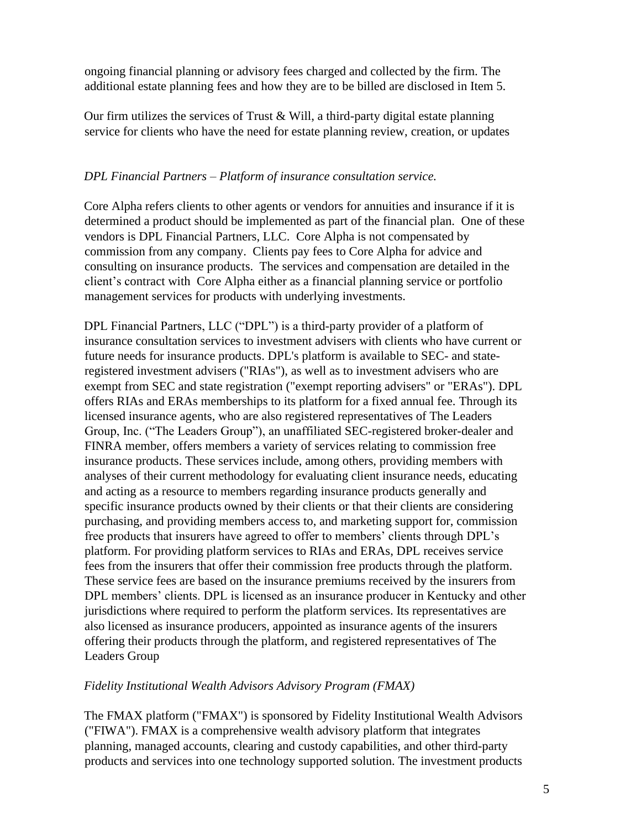ongoing financial planning or advisory fees charged and collected by the firm. The additional estate planning fees and how they are to be billed are disclosed in Item 5.

Our firm utilizes the services of Trust  $& Will$ , a third-party digital estate planning service for clients who have the need for estate planning review, creation, or updates

#### *DPL Financial Partners – Platform of insurance consultation service.*

Core Alpha refers clients to other agents or vendors for annuities and insurance if it is determined a product should be implemented as part of the financial plan. One of these vendors is DPL Financial Partners, LLC. Core Alpha is not compensated by commission from any company. Clients pay fees to Core Alpha for advice and consulting on insurance products. The services and compensation are detailed in the client's contract with Core Alpha either as a financial planning service or portfolio management services for products with underlying investments.

DPL Financial Partners, LLC ("DPL") is a third-party provider of a platform of insurance consultation services to investment advisers with clients who have current or future needs for insurance products. DPL's platform is available to SEC- and stateregistered investment advisers ("RIAs"), as well as to investment advisers who are exempt from SEC and state registration ("exempt reporting advisers" or "ERAs"). DPL offers RIAs and ERAs memberships to its platform for a fixed annual fee. Through its licensed insurance agents, who are also registered representatives of The Leaders Group, Inc. ("The Leaders Group"), an unaffiliated SEC-registered broker-dealer and FINRA member, offers members a variety of services relating to commission free insurance products. These services include, among others, providing members with analyses of their current methodology for evaluating client insurance needs, educating and acting as a resource to members regarding insurance products generally and specific insurance products owned by their clients or that their clients are considering purchasing, and providing members access to, and marketing support for, commission free products that insurers have agreed to offer to members' clients through DPL's platform. For providing platform services to RIAs and ERAs, DPL receives service fees from the insurers that offer their commission free products through the platform. These service fees are based on the insurance premiums received by the insurers from DPL members' clients. DPL is licensed as an insurance producer in Kentucky and other jurisdictions where required to perform the platform services. Its representatives are also licensed as insurance producers, appointed as insurance agents of the insurers offering their products through the platform, and registered representatives of The Leaders Group

### *Fidelity Institutional Wealth Advisors Advisory Program (FMAX)*

The FMAX platform ("FMAX") is sponsored by Fidelity Institutional Wealth Advisors ("FIWA"). FMAX is a comprehensive wealth advisory platform that integrates planning, managed accounts, clearing and custody capabilities, and other third-party products and services into one technology supported solution. The investment products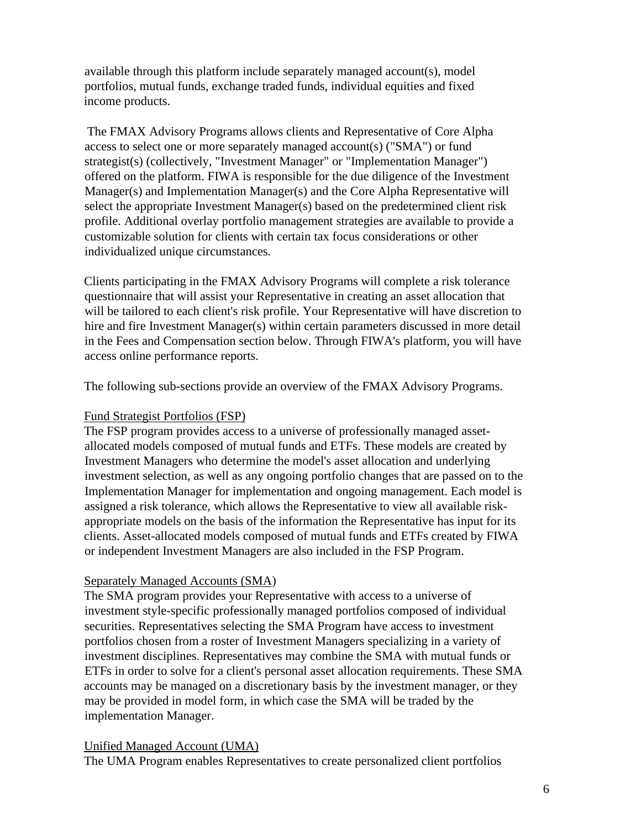available through this platform include separately managed account(s), model portfolios, mutual funds, exchange traded funds, individual equities and fixed income products.

The FMAX Advisory Programs allows clients and Representative of Core Alpha access to select one or more separately managed account(s) ("SMA") or fund strategist(s) (collectively, "Investment Manager" or "Implementation Manager") offered on the platform. FIWA is responsible for the due diligence of the Investment Manager(s) and Implementation Manager(s) and the Core Alpha Representative will select the appropriate Investment Manager(s) based on the predetermined client risk profile. Additional overlay portfolio management strategies are available to provide a customizable solution for clients with certain tax focus considerations or other individualized unique circumstances.

Clients participating in the FMAX Advisory Programs will complete a risk tolerance questionnaire that will assist your Representative in creating an asset allocation that will be tailored to each client's risk profile. Your Representative will have discretion to hire and fire Investment Manager(s) within certain parameters discussed in more detail in the Fees and Compensation section below. Through FIWA's platform, you will have access online performance reports.

The following sub-sections provide an overview of the FMAX Advisory Programs.

### Fund Strategist Portfolios (FSP)

The FSP program provides access to a universe of professionally managed assetallocated models composed of mutual funds and ETFs. These models are created by Investment Managers who determine the model's asset allocation and underlying investment selection, as well as any ongoing portfolio changes that are passed on to the Implementation Manager for implementation and ongoing management. Each model is assigned a risk tolerance, which allows the Representative to view all available riskappropriate models on the basis of the information the Representative has input for its clients. Asset-allocated models composed of mutual funds and ETFs created by FIWA or independent Investment Managers are also included in the FSP Program.

### Separately Managed Accounts (SMA)

The SMA program provides your Representative with access to a universe of investment style-specific professionally managed portfolios composed of individual securities. Representatives selecting the SMA Program have access to investment portfolios chosen from a roster of Investment Managers specializing in a variety of investment disciplines. Representatives may combine the SMA with mutual funds or ETFs in order to solve for a client's personal asset allocation requirements. These SMA accounts may be managed on a discretionary basis by the investment manager, or they may be provided in model form, in which case the SMA will be traded by the implementation Manager.

### Unified Managed Account (UMA)

The UMA Program enables Representatives to create personalized client portfolios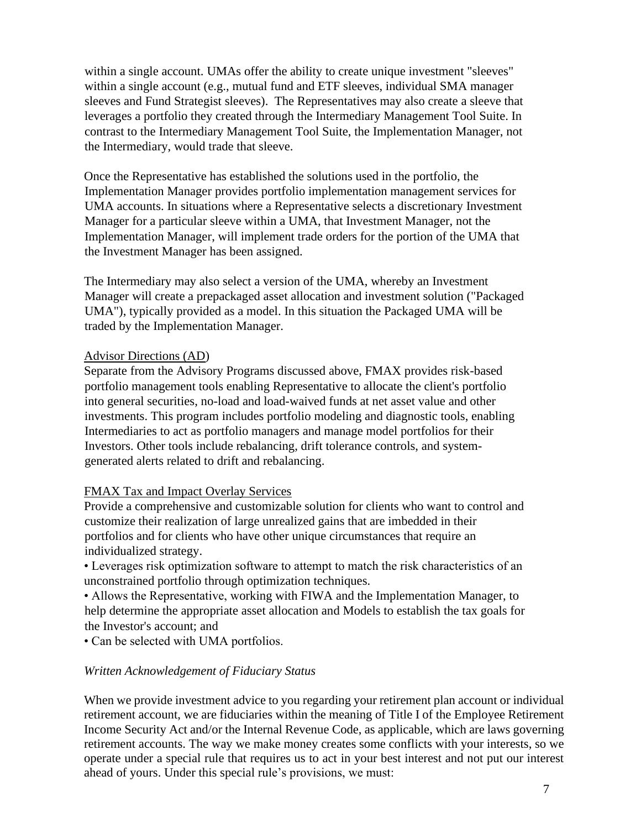within a single account. UMAs offer the ability to create unique investment "sleeves" within a single account (e.g., mutual fund and ETF sleeves, individual SMA manager sleeves and Fund Strategist sleeves). The Representatives may also create a sleeve that leverages a portfolio they created through the Intermediary Management Tool Suite. In contrast to the Intermediary Management Tool Suite, the Implementation Manager, not the Intermediary, would trade that sleeve.

Once the Representative has established the solutions used in the portfolio, the Implementation Manager provides portfolio implementation management services for UMA accounts. In situations where a Representative selects a discretionary Investment Manager for a particular sleeve within a UMA, that Investment Manager, not the Implementation Manager, will implement trade orders for the portion of the UMA that the Investment Manager has been assigned.

The Intermediary may also select a version of the UMA, whereby an Investment Manager will create a prepackaged asset allocation and investment solution ("Packaged UMA"), typically provided as a model. In this situation the Packaged UMA will be traded by the Implementation Manager.

#### Advisor Directions (AD)

Separate from the Advisory Programs discussed above, FMAX provides risk-based portfolio management tools enabling Representative to allocate the client's portfolio into general securities, no-load and load-waived funds at net asset value and other investments. This program includes portfolio modeling and diagnostic tools, enabling Intermediaries to act as portfolio managers and manage model portfolios for their Investors. Other tools include rebalancing, drift tolerance controls, and systemgenerated alerts related to drift and rebalancing.

### FMAX Tax and Impact Overlay Services

Provide a comprehensive and customizable solution for clients who want to control and customize their realization of large unrealized gains that are imbedded in their portfolios and for clients who have other unique circumstances that require an individualized strategy.

• Leverages risk optimization software to attempt to match the risk characteristics of an unconstrained portfolio through optimization techniques.

• Allows the Representative, working with FIWA and the Implementation Manager, to help determine the appropriate asset allocation and Models to establish the tax goals for the Investor's account; and

• Can be selected with UMA portfolios.

### *Written Acknowledgement of Fiduciary Status*

When we provide investment advice to you regarding your retirement plan account or individual retirement account, we are fiduciaries within the meaning of Title I of the Employee Retirement Income Security Act and/or the Internal Revenue Code, as applicable, which are laws governing retirement accounts. The way we make money creates some conflicts with your interests, so we operate under a special rule that requires us to act in your best interest and not put our interest ahead of yours. Under this special rule's provisions, we must: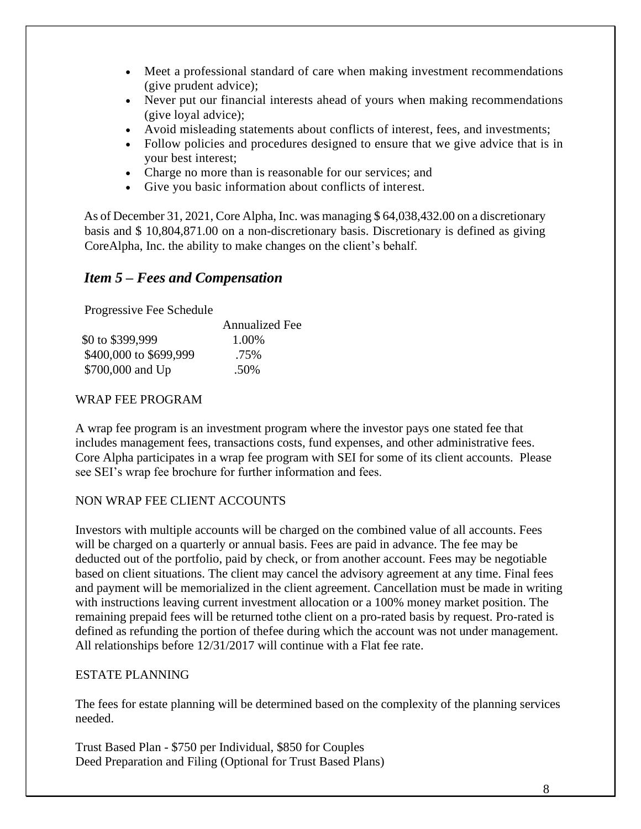- Meet a professional standard of care when making investment recommendations (give prudent advice);
- Never put our financial interests ahead of yours when making recommendations (give loyal advice);
- Avoid misleading statements about conflicts of interest, fees, and investments;
- Follow policies and procedures designed to ensure that we give advice that is in your best interest;
- Charge no more than is reasonable for our services; and
- Give you basic information about conflicts of interest.

As of December 31, 2021, Core Alpha, Inc. was managing \$ 64,038,432.00 on a discretionary basis and \$ 10,804,871.00 on a non-discretionary basis. Discretionary is defined as giving CoreAlpha, Inc. the ability to make changes on the client's behalf.

### <span id="page-7-0"></span>*Item 5 – Fees and Compensation*

Progressive Fee Schedule

|                        | <b>Annualized Fee</b> |
|------------------------|-----------------------|
| \$0 to \$399,999       | 1.00%                 |
| \$400,000 to \$699,999 | .75%                  |
| \$700,000 and Up       | .50%                  |

#### WRAP FEE PROGRAM

A wrap fee program is an investment program where the investor pays one stated fee that includes management fees, transactions costs, fund expenses, and other administrative fees. Core Alpha participates in a wrap fee program with SEI for some of its client accounts. Please see SEI's wrap fee brochure for further information and fees.

### NON WRAP FEE CLIENT ACCOUNTS

Investors with multiple accounts will be charged on the combined value of all accounts. Fees will be charged on a quarterly or annual basis. Fees are paid in advance. The fee may be deducted out of the portfolio, paid by check, or from another account. Fees may be negotiable based on client situations. The client may cancel the advisory agreement at any time. Final fees and payment will be memorialized in the client agreement. Cancellation must be made in writing with instructions leaving current investment allocation or a 100% money market position. The remaining prepaid fees will be returned tothe client on a pro-rated basis by request. Pro-rated is defined as refunding the portion of thefee during which the account was not under management. All relationships before 12/31/2017 will continue with a Flat fee rate.

#### ESTATE PLANNING

The fees for estate planning will be determined based on the complexity of the planning services needed.

Trust Based Plan - \$750 per Individual, \$850 for Couples Deed Preparation and Filing (Optional for Trust Based Plans)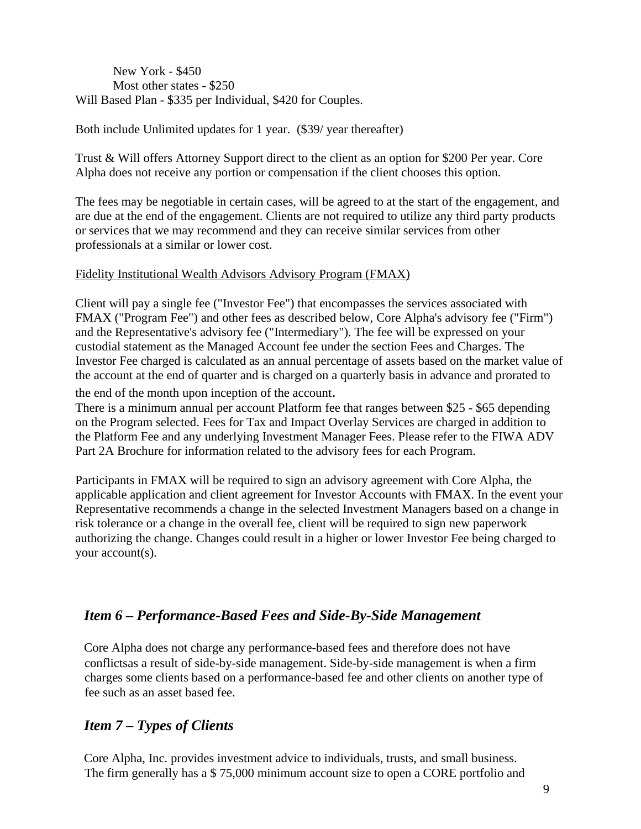New York - \$450 Most other states - \$250 Will Based Plan - \$335 per Individual, \$420 for Couples.

Both include Unlimited updates for 1 year. (\$39/ year thereafter)

Trust & Will offers Attorney Support direct to the client as an option for \$200 Per year. Core Alpha does not receive any portion or compensation if the client chooses this option.

The fees may be negotiable in certain cases, will be agreed to at the start of the engagement, and are due at the end of the engagement. Clients are not required to utilize any third party products or services that we may recommend and they can receive similar services from other professionals at a similar or lower cost.

#### Fidelity Institutional Wealth Advisors Advisory Program (FMAX)

Client will pay a single fee ("Investor Fee") that encompasses the services associated with FMAX ("Program Fee") and other fees as described below, Core Alpha's advisory fee ("Firm") and the Representative's advisory fee ("Intermediary"). The fee will be expressed on your custodial statement as the Managed Account fee under the section Fees and Charges. The Investor Fee charged is calculated as an annual percentage of assets based on the market value of the account at the end of quarter and is charged on a quarterly basis in advance and prorated to

the end of the month upon inception of the account.

There is a minimum annual per account Platform fee that ranges between \$25 - \$65 depending on the Program selected. Fees for Tax and Impact Overlay Services are charged in addition to the Platform Fee and any underlying Investment Manager Fees. Please refer to the FIWA ADV Part 2A Brochure for information related to the advisory fees for each Program.

Participants in FMAX will be required to sign an advisory agreement with Core Alpha, the applicable application and client agreement for Investor Accounts with FMAX. In the event your Representative recommends a change in the selected Investment Managers based on a change in risk tolerance or a change in the overall fee, client will be required to sign new paperwork authorizing the change. Changes could result in a higher or lower Investor Fee being charged to your account(s).

### <span id="page-8-0"></span>*Item 6 – Performance-Based Fees and Side-By-Side Management*

Core Alpha does not charge any performance-based fees and therefore does not have conflictsas a result of side-by-side management. Side-by-side management is when a firm charges some clients based on a performance-based fee and other clients on another type of fee such as an asset based fee.

### <span id="page-8-1"></span>*Item 7 – Types of Clients*

Core Alpha, Inc. provides investment advice to individuals, trusts, and small business. The firm generally has a \$ 75,000 minimum account size to open a CORE portfolio and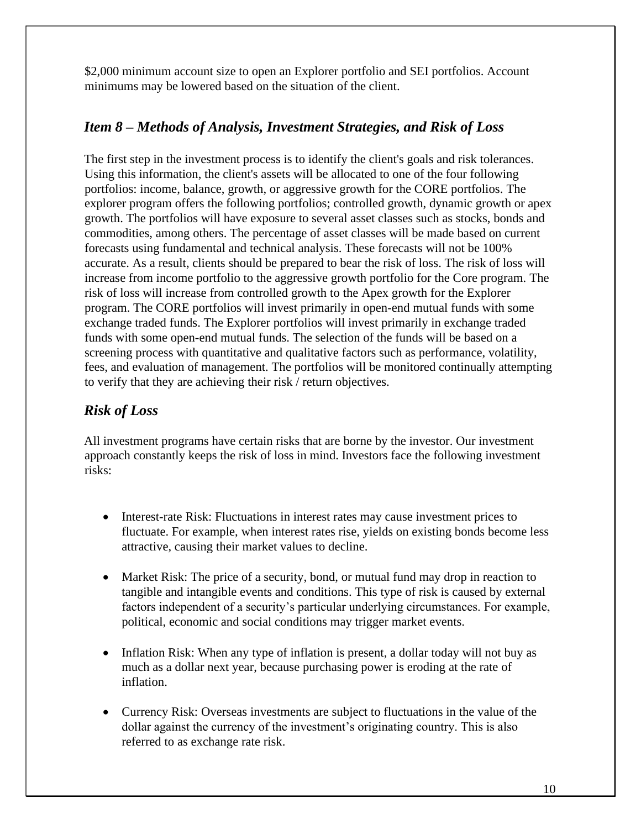\$2,000 minimum account size to open an Explorer portfolio and SEI portfolios. Account minimums may be lowered based on the situation of the client.

# <span id="page-9-0"></span>*Item 8 – Methods of Analysis, Investment Strategies, and Risk of Loss*

The first step in the investment process is to identify the client's goals and risk tolerances. Using this information, the client's assets will be allocated to one of the four following portfolios: income, balance, growth, or aggressive growth for the CORE portfolios. The explorer program offers the following portfolios; controlled growth, dynamic growth or apex growth. The portfolios will have exposure to several asset classes such as stocks, bonds and commodities, among others. The percentage of asset classes will be made based on current forecasts using fundamental and technical analysis. These forecasts will not be 100% accurate. As a result, clients should be prepared to bear the risk of loss. The risk of loss will increase from income portfolio to the aggressive growth portfolio for the Core program. The risk of loss will increase from controlled growth to the Apex growth for the Explorer program. The CORE portfolios will invest primarily in open-end mutual funds with some exchange traded funds. The Explorer portfolios will invest primarily in exchange traded funds with some open-end mutual funds. The selection of the funds will be based on a screening process with quantitative and qualitative factors such as performance, volatility, fees, and evaluation of management. The portfolios will be monitored continually attempting to verify that they are achieving their risk / return objectives.

# *Risk of Loss*

All investment programs have certain risks that are borne by the investor. Our investment approach constantly keeps the risk of loss in mind. Investors face the following investment risks:

- Interest-rate Risk: Fluctuations in interest rates may cause investment prices to fluctuate. For example, when interest rates rise, yields on existing bonds become less attractive, causing their market values to decline.
- Market Risk: The price of a security, bond, or mutual fund may drop in reaction to tangible and intangible events and conditions. This type of risk is caused by external factors independent of a security's particular underlying circumstances. For example, political, economic and social conditions may trigger market events.
- Inflation Risk: When any type of inflation is present, a dollar today will not buy as much as a dollar next year, because purchasing power is eroding at the rate of inflation.
- Currency Risk: Overseas investments are subject to fluctuations in the value of the dollar against the currency of the investment's originating country. This is also referred to as exchange rate risk.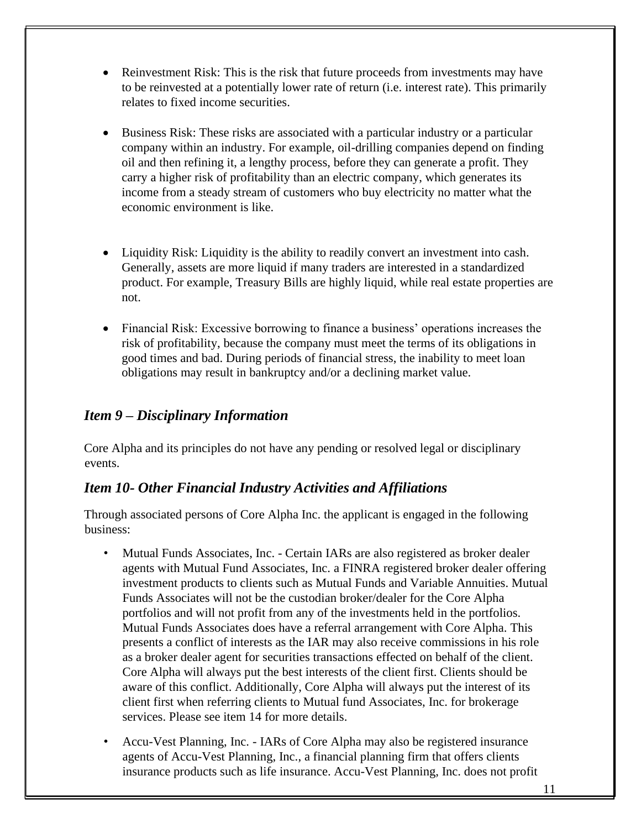- Reinvestment Risk: This is the risk that future proceeds from investments may have to be reinvested at a potentially lower rate of return (i.e. interest rate). This primarily relates to fixed income securities.
- Business Risk: These risks are associated with a particular industry or a particular company within an industry. For example, oil-drilling companies depend on finding oil and then refining it, a lengthy process, before they can generate a profit. They carry a higher risk of profitability than an electric company, which generates its income from a steady stream of customers who buy electricity no matter what the economic environment is like.
- Liquidity Risk: Liquidity is the ability to readily convert an investment into cash. Generally, assets are more liquid if many traders are interested in a standardized product. For example, Treasury Bills are highly liquid, while real estate properties are not.
- Financial Risk: Excessive borrowing to finance a business' operations increases the risk of profitability, because the company must meet the terms of its obligations in good times and bad. During periods of financial stress, the inability to meet loan obligations may result in bankruptcy and/or a declining market value.

# <span id="page-10-0"></span>*Item 9 – Disciplinary Information*

Core Alpha and its principles do not have any pending or resolved legal or disciplinary events.

### <span id="page-10-1"></span>*Item 10- Other Financial Industry Activities and Affiliations*

Through associated persons of Core Alpha Inc. the applicant is engaged in the following business:

- Mutual Funds Associates, Inc. Certain IARs are also registered as broker dealer agents with Mutual Fund Associates, Inc. a FINRA registered broker dealer offering investment products to clients such as Mutual Funds and Variable Annuities. Mutual Funds Associates will not be the custodian broker/dealer for the Core Alpha portfolios and will not profit from any of the investments held in the portfolios. Mutual Funds Associates does have a referral arrangement with Core Alpha. This presents a conflict of interests as the IAR may also receive commissions in his role as a broker dealer agent for securities transactions effected on behalf of the client. Core Alpha will always put the best interests of the client first. Clients should be aware of this conflict. Additionally, Core Alpha will always put the interest of its client first when referring clients to Mutual fund Associates, Inc. for brokerage services. Please see item 14 for more details.
- Accu-Vest Planning, Inc. IARs of Core Alpha may also be registered insurance agents of Accu-Vest Planning, Inc., a financial planning firm that offers clients insurance products such as life insurance. Accu-Vest Planning, Inc. does not profit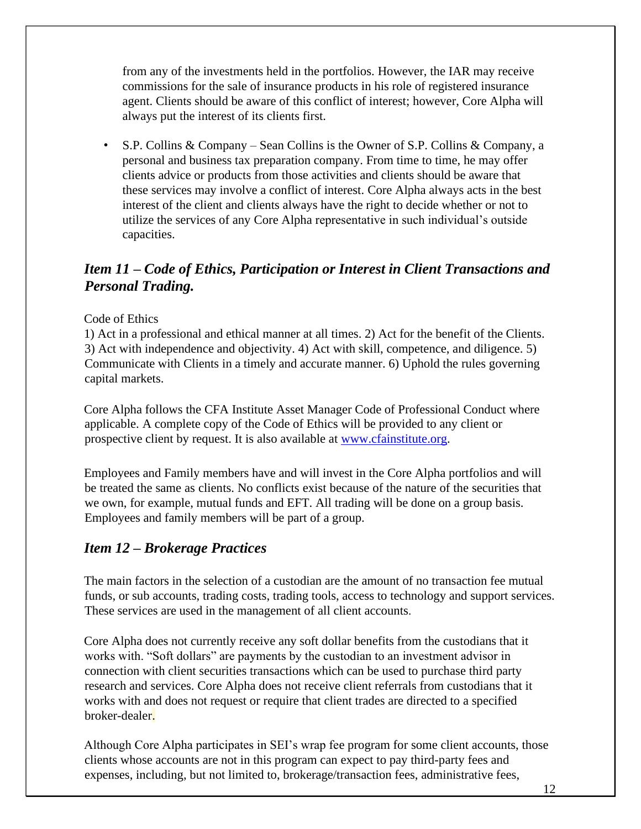from any of the investments held in the portfolios. However, the IAR may receive commissions for the sale of insurance products in his role of registered insurance agent. Clients should be aware of this conflict of interest; however, Core Alpha will always put the interest of its clients first.

• S.P. Collins & Company – Sean Collins is the Owner of S.P. Collins & Company, a personal and business tax preparation company. From time to time, he may offer clients advice or products from those activities and clients should be aware that these services may involve a conflict of interest. Core Alpha always acts in the best interest of the client and clients always have the right to decide whether or not to utilize the services of any Core Alpha representative in such individual's outside capacities.

# <span id="page-11-0"></span>*Item 11 – Code of Ethics, Participation or Interest in Client Transactions and Personal Trading.*

#### Code of Ethics

1) Act in a professional and ethical manner at all times. 2) Act for the benefit of the Clients. 3) Act with independence and objectivity. 4) Act with skill, competence, and diligence. 5) Communicate with Clients in a timely and accurate manner. 6) Uphold the rules governing capital markets.

Core Alpha follows the CFA Institute Asset Manager Code of Professional Conduct where applicable. A complete copy of the Code of Ethics will be provided to any client or prospective client by request. It is also available at [www.cfainstitute.org.](http://www.cfainstitute.org/)

Employees and Family members have and will invest in the Core Alpha portfolios and will be treated the same as clients. No conflicts exist because of the nature of the securities that we own, for example, mutual funds and EFT. All trading will be done on a group basis. Employees and family members will be part of a group.

### <span id="page-11-1"></span>*Item 12 – Brokerage Practices*

The main factors in the selection of a custodian are the amount of no transaction fee mutual funds, or sub accounts, trading costs, trading tools, access to technology and support services. These services are used in the management of all client accounts.

Core Alpha does not currently receive any soft dollar benefits from the custodians that it works with. "Soft dollars" are payments by the custodian to an investment advisor in connection with client securities transactions which can be used to purchase third party research and services. Core Alpha does not receive client referrals from custodians that it works with and does not request or require that client trades are directed to a specified broker-dealer.

Although Core Alpha participates in SEI's wrap fee program for some client accounts, those clients whose accounts are not in this program can expect to pay third-party fees and expenses, including, but not limited to, brokerage/transaction fees, administrative fees,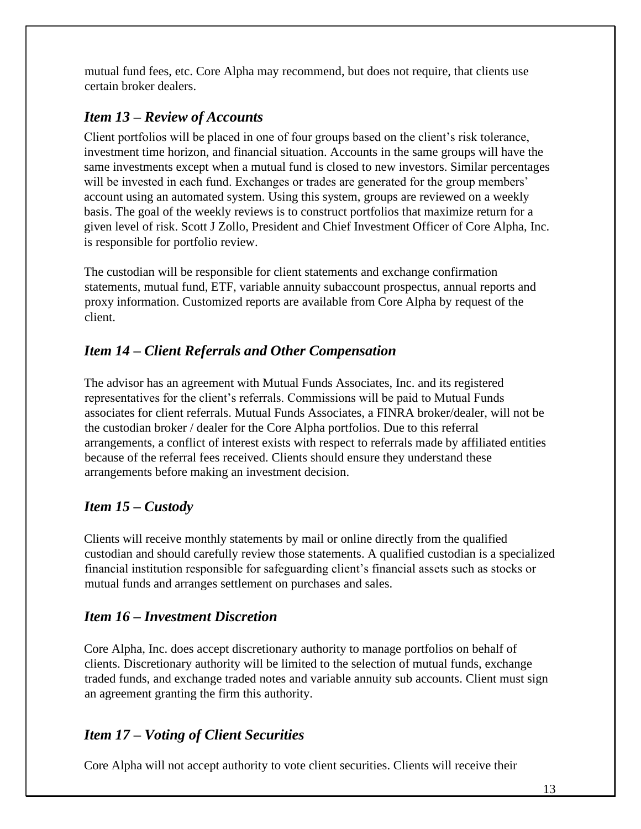mutual fund fees, etc. Core Alpha may recommend, but does not require, that clients use certain broker dealers.

# <span id="page-12-0"></span>*Item 13 – Review of Accounts*

Client portfolios will be placed in one of four groups based on the client's risk tolerance, investment time horizon, and financial situation. Accounts in the same groups will have the same investments except when a mutual fund is closed to new investors. Similar percentages will be invested in each fund. Exchanges or trades are generated for the group members' account using an automated system. Using this system, groups are reviewed on a weekly basis. The goal of the weekly reviews is to construct portfolios that maximize return for a given level of risk. Scott J Zollo, President and Chief Investment Officer of Core Alpha, Inc. is responsible for portfolio review.

The custodian will be responsible for client statements and exchange confirmation statements, mutual fund, ETF, variable annuity subaccount prospectus, annual reports and proxy information. Customized reports are available from Core Alpha by request of the client.

# <span id="page-12-1"></span>*Item 14 – Client Referrals and Other Compensation*

The advisor has an agreement with Mutual Funds Associates, Inc. and its registered representatives for the client's referrals. Commissions will be paid to Mutual Funds associates for client referrals. Mutual Funds Associates, a FINRA broker/dealer, will not be the custodian broker / dealer for the Core Alpha portfolios. Due to this referral arrangements, a conflict of interest exists with respect to referrals made by affiliated entities because of the referral fees received. Clients should ensure they understand these arrangements before making an investment decision.

### <span id="page-12-2"></span>*Item 15 – Custody*

Clients will receive monthly statements by mail or online directly from the qualified custodian and should carefully review those statements. A qualified custodian is a specialized financial institution responsible for safeguarding client's financial assets such as stocks or mutual funds and arranges settlement on purchases and sales.

# <span id="page-12-3"></span>*Item 16 – Investment Discretion*

Core Alpha, Inc. does accept discretionary authority to manage portfolios on behalf of clients. Discretionary authority will be limited to the selection of mutual funds, exchange traded funds, and exchange traded notes and variable annuity sub accounts. Client must sign an agreement granting the firm this authority.

# *Item 17 – Voting of Client Securities*

Core Alpha will not accept authority to vote client securities. Clients will receive their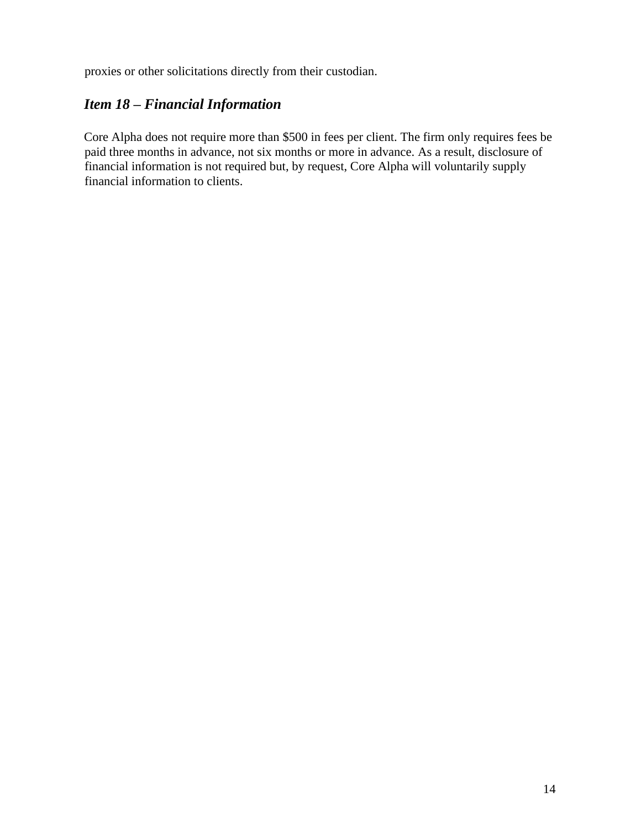proxies or other solicitations directly from their custodian.

# *Item 18 – Financial Information*

Core Alpha does not require more than \$500 in fees per client. The firm only requires fees be paid three months in advance, not six months or more in advance. As a result, disclosure of financial information is not required but, by request, Core Alpha will voluntarily supply financial information to clients.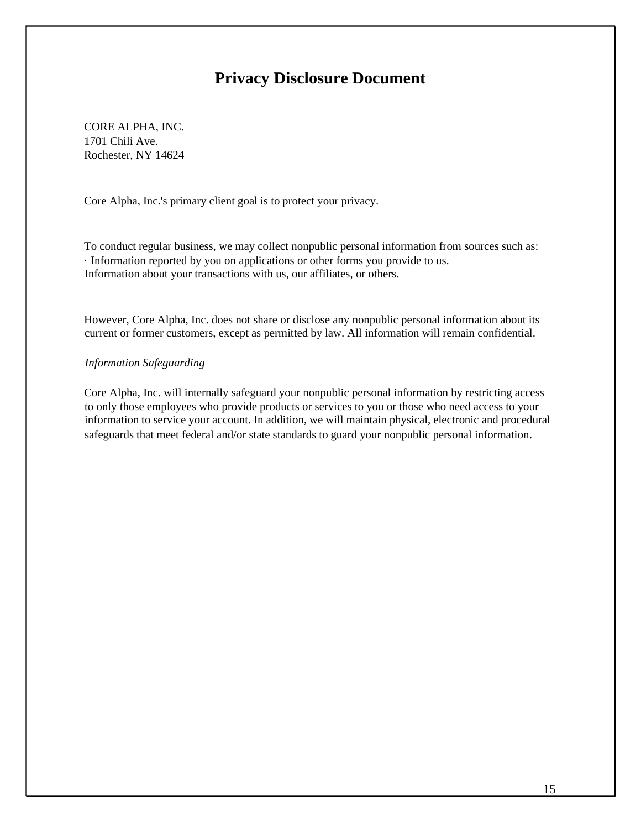# **Privacy Disclosure Document**

CORE ALPHA, INC. 1701 Chili Ave. Rochester, NY 14624

Core Alpha, Inc.'s primary client goal is to protect your privacy.

To conduct regular business, we may collect nonpublic personal information from sources such as: · Information reported by you on applications or other forms you provide to us. Information about your transactions with us, our affiliates, or others.

However, Core Alpha, Inc. does not share or disclose any nonpublic personal information about its current or former customers, except as permitted by law. All information will remain confidential.

#### *Information Safeguarding*

Core Alpha, Inc. will internally safeguard your nonpublic personal information by restricting access to only those employees who provide products or services to you or those who need access to your information to service your account. In addition, we will maintain physical, electronic and procedural safeguards that meet federal and/or state standards to guard your nonpublic personal information.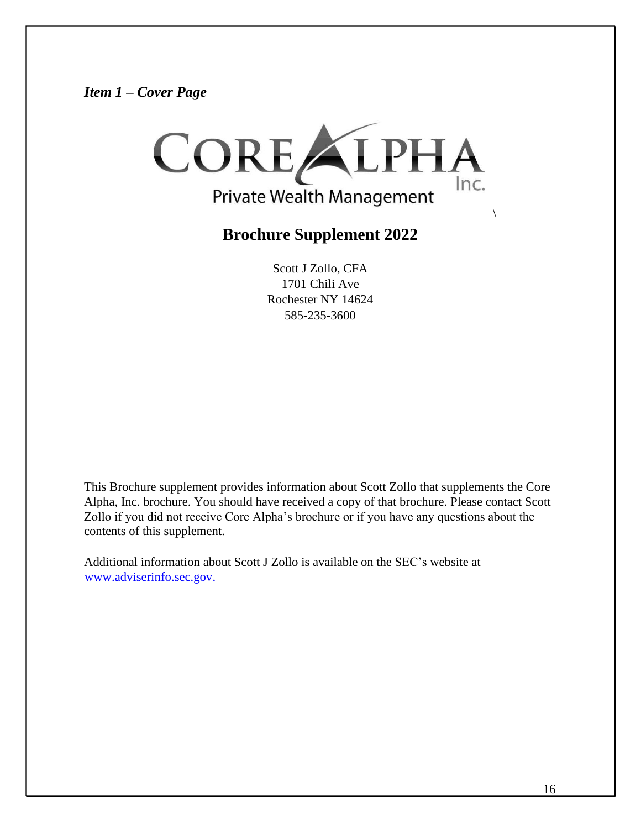*Item 1 – Cover Page*



# **Brochure Supplement 2022**

Scott J Zollo, CFA 1701 Chili Ave Rochester NY 14624 585-235-3600

This Brochure supplement provides information about Scott Zollo that supplements the Core Alpha, Inc. brochure. You should have received a copy of that brochure. Please contact Scott Zollo if you did not receive Core Alpha's brochure or if you have any questions about the contents of this supplement.

Additional information about Scott J Zollo is available on the SEC's website at [www.adviserinfo.sec.gov.](http://www.adviserinfo.sec.gov/)